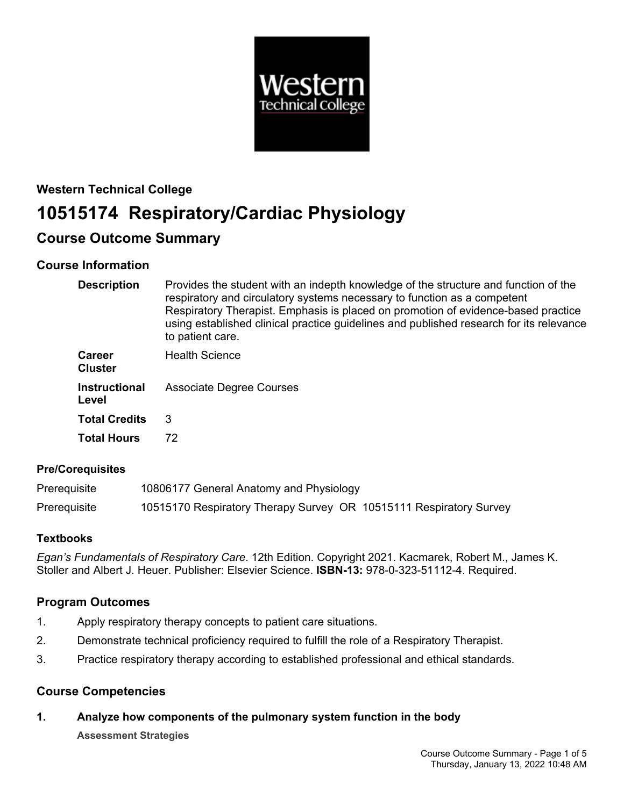

# **Western Technical College 10515174 Respiratory/Cardiac Physiology**

# **Course Outcome Summary**

# **Course Information**

| <b>Description</b>              | Provides the student with an indepth knowledge of the structure and function of the<br>respiratory and circulatory systems necessary to function as a competent<br>Respiratory Therapist. Emphasis is placed on promotion of evidence-based practice<br>using established clinical practice guidelines and published research for its relevance<br>to patient care. |
|---------------------------------|---------------------------------------------------------------------------------------------------------------------------------------------------------------------------------------------------------------------------------------------------------------------------------------------------------------------------------------------------------------------|
| <b>Career</b><br><b>Cluster</b> | <b>Health Science</b>                                                                                                                                                                                                                                                                                                                                               |
| <b>Instructional</b><br>Level   | Associate Degree Courses                                                                                                                                                                                                                                                                                                                                            |
| <b>Total Credits</b>            | 3                                                                                                                                                                                                                                                                                                                                                                   |
| <b>Total Hours</b>              | 72                                                                                                                                                                                                                                                                                                                                                                  |

# **Pre/Corequisites**

| Prerequisite | 10806177 General Anatomy and Physiology                            |
|--------------|--------------------------------------------------------------------|
| Prerequisite | 10515170 Respiratory Therapy Survey OR 10515111 Respiratory Survey |

# **Textbooks**

*Egan's Fundamentals of Respiratory Care*. 12th Edition. Copyright 2021. Kacmarek, Robert M., James K. Stoller and Albert J. Heuer. Publisher: Elsevier Science. **ISBN-13:** 978-0-323-51112-4. Required.

# **Program Outcomes**

- 1. Apply respiratory therapy concepts to patient care situations.
- 2. Demonstrate technical proficiency required to fulfill the role of a Respiratory Therapist.
- 3. Practice respiratory therapy according to established professional and ethical standards.

# **Course Competencies**

**1. Analyze how components of the pulmonary system function in the body**

**Assessment Strategies**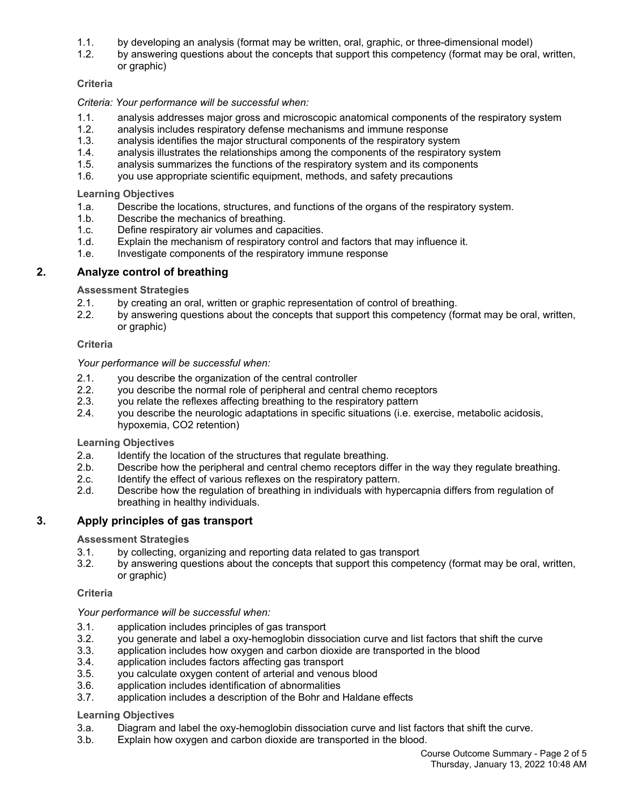- 
- 1.1. by developing an analysis (format may be written, oral, graphic, or three-dimensional model) by answering questions about the concepts that support this competency (format may be oral, written, or graphic)

## **Criteria**

### *Criteria: Your performance will be successful when:*

- 1.1. analysis addresses major gross and microscopic anatomical components of the respiratory system
- 1.2. analysis includes respiratory defense mechanisms and immune response
- 1.3. analysis identifies the major structural components of the respiratory system
- 1.4. analysis illustrates the relationships among the components of the respiratory system
- 1.5. analysis summarizes the functions of the respiratory system and its components
- 1.6. you use appropriate scientific equipment, methods, and safety precautions

#### **Learning Objectives**

- 1.a. Describe the locations, structures, and functions of the organs of the respiratory system.
- 1.b. Describe the mechanics of breathing.
- 1.c. Define respiratory air volumes and capacities.
- 1.d. Explain the mechanism of respiratory control and factors that may influence it.
- 1.e. Investigate components of the respiratory immune response

## **2. Analyze control of breathing**

#### **Assessment Strategies**

- 2.1. by creating an oral, written or graphic representation of control of breathing.
- 2.2. by answering questions about the concepts that support this competency (format may be oral, written, or graphic)

#### **Criteria**

#### *Your performance will be successful when:*

- 2.1. you describe the organization of the central controller
- 2.2. you describe the normal role of peripheral and central chemo receptors
- 2.3. you relate the reflexes affecting breathing to the respiratory pattern
- 2.4. you describe the neurologic adaptations in specific situations (i.e. exercise, metabolic acidosis, hypoxemia, CO2 retention)

#### **Learning Objectives**

- 2.a. Identify the location of the structures that regulate breathing.
- 2.b. Describe how the peripheral and central chemo receptors differ in the way they regulate breathing.
- 2.c. Identify the effect of various reflexes on the respiratory pattern.
- 2.d. Describe how the regulation of breathing in individuals with hypercapnia differs from regulation of breathing in healthy individuals.

### **3. Apply principles of gas transport**

#### **Assessment Strategies**

- 3.1. by collecting, organizing and reporting data related to gas transport
- 3.2. by answering questions about the concepts that support this competency (format may be oral, written, or graphic)

#### **Criteria**

### *Your performance will be successful when:*

- 3.1. application includes principles of gas transport
- 3.2. you generate and label a oxy-hemoglobin dissociation curve and list factors that shift the curve
- 3.3. application includes how oxygen and carbon dioxide are transported in the blood
- 3.4. application includes factors affecting gas transport
- 3.5. you calculate oxygen content of arterial and venous blood
- 3.6. application includes identification of abnormalities
- 3.7. application includes a description of the Bohr and Haldane effects

### **Learning Objectives**

- 3.a. Diagram and label the oxy-hemoglobin dissociation curve and list factors that shift the curve.
- 3.b. Explain how oxygen and carbon dioxide are transported in the blood.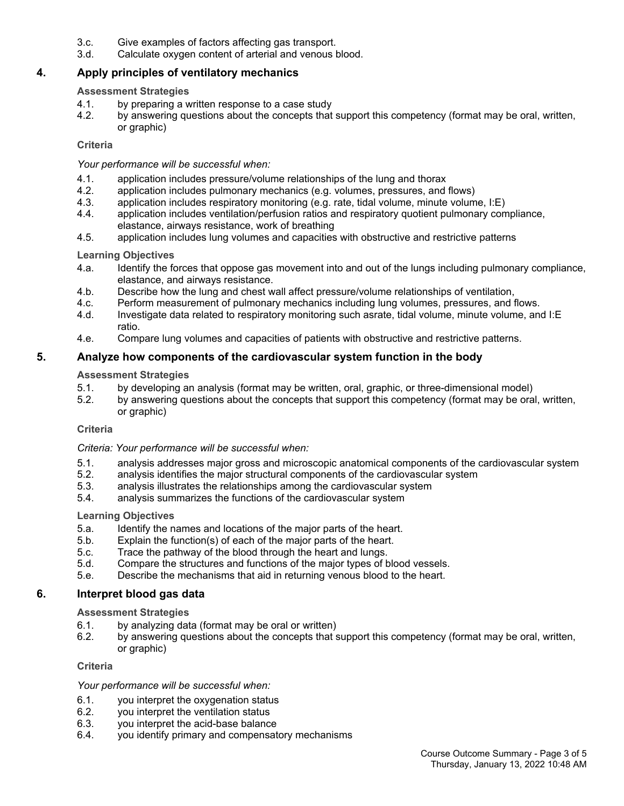- 3.c. Give examples of factors affecting gas transport.
- 3.d. Calculate oxygen content of arterial and venous blood.

### **4. Apply principles of ventilatory mechanics**

#### **Assessment Strategies**

- 4.1. by preparing a written response to a case study
- 4.2. by answering questions about the concepts that support this competency (format may be oral, written, or graphic)

#### **Criteria**

#### *Your performance will be successful when:*

- 4.1. application includes pressure/volume relationships of the lung and thorax
- 4.2. application includes pulmonary mechanics (e.g. volumes, pressures, and flows)
- 4.3. application includes respiratory monitoring (e.g. rate, tidal volume, minute volume, I:E)
- 4.4. application includes ventilation/perfusion ratios and respiratory quotient pulmonary compliance, elastance, airways resistance, work of breathing
- 4.5. application includes lung volumes and capacities with obstructive and restrictive patterns

#### **Learning Objectives**

- 4.a. Identify the forces that oppose gas movement into and out of the lungs including pulmonary compliance, elastance, and airways resistance.
- 4.b. Describe how the lung and chest wall affect pressure/volume relationships of ventilation,
- 4.c. Perform measurement of pulmonary mechanics including lung volumes, pressures, and flows.
- 4.d. Investigate data related to respiratory monitoring such asrate, tidal volume, minute volume, and I:E ratio.
- 4.e. Compare lung volumes and capacities of patients with obstructive and restrictive patterns.

### **5. Analyze how components of the cardiovascular system function in the body**

#### **Assessment Strategies**

- 5.1. by developing an analysis (format may be written, oral, graphic, or three-dimensional model)
- 5.2. by answering questions about the concepts that support this competency (format may be oral, written, or graphic)

### **Criteria**

### *Criteria: Your performance will be successful when:*

- 5.1. analysis addresses major gross and microscopic anatomical components of the cardiovascular system
- 5.2. analysis identifies the major structural components of the cardiovascular system
- 5.3. analysis illustrates the relationships among the cardiovascular system
- 5.4. analysis summarizes the functions of the cardiovascular system

#### **Learning Objectives**

- 5.a. Identify the names and locations of the major parts of the heart.
- 5.b. Explain the function(s) of each of the major parts of the heart.
- 5.c. Trace the pathway of the blood through the heart and lungs.
- 5.d. Compare the structures and functions of the major types of blood vessels.
- 5.e. Describe the mechanisms that aid in returning venous blood to the heart.

### **6. Interpret blood gas data**

### **Assessment Strategies**

- 6.1. by analyzing data (format may be oral or written)
- 6.2. by answering questions about the concepts that support this competency (format may be oral, written, or graphic)

#### **Criteria**

### *Your performance will be successful when:*

- 6.1. you interpret the oxygenation status
- 6.2. you interpret the ventilation status
- 6.3. you interpret the acid-base balance
- 6.4. you identify primary and compensatory mechanisms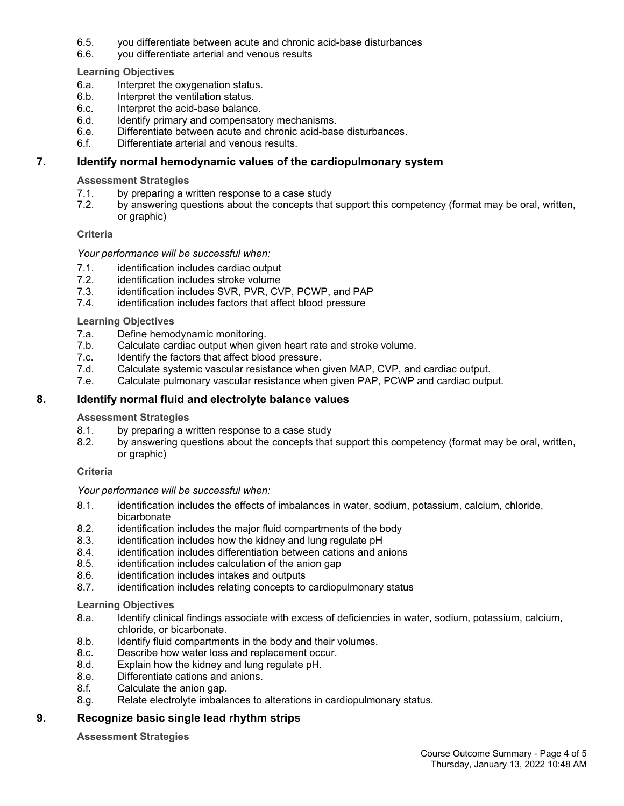- 6.5. you differentiate between acute and chronic acid-base disturbances
- 6.6. you differentiate arterial and venous results

**Learning Objectives**

- 6.a. Interpret the oxygenation status.
- 6.b. Interpret the ventilation status.
- 6.c. Interpret the acid-base balance.
- 6.d. Identify primary and compensatory mechanisms.
- 6.e. Differentiate between acute and chronic acid-base disturbances.
- 6.f. Differentiate arterial and venous results.

## **7. Identify normal hemodynamic values of the cardiopulmonary system**

#### **Assessment Strategies**

- 7.1. by preparing a written response to a case study
- 7.2. by answering questions about the concepts that support this competency (format may be oral, written, or graphic)

#### **Criteria**

#### *Your performance will be successful when:*

- 7.1. identification includes cardiac output
- 7.2. identification includes stroke volume
- 7.3. identification includes SVR, PVR, CVP, PCWP, and PAP
- 7.4. identification includes factors that affect blood pressure

#### **Learning Objectives**

- 7.a. Define hemodynamic monitoring.
- 7.b. Calculate cardiac output when given heart rate and stroke volume.
- 7.c. Identify the factors that affect blood pressure.
- 7.d. Calculate systemic vascular resistance when given MAP, CVP, and cardiac output.
- 7.e. Calculate pulmonary vascular resistance when given PAP, PCWP and cardiac output.

## **8. Identify normal fluid and electrolyte balance values**

#### **Assessment Strategies**

- 8.1. by preparing a written response to a case study
- 8.2. by answering questions about the concepts that support this competency (format may be oral, written, or graphic)

#### **Criteria**

#### *Your performance will be successful when:*

- 8.1. identification includes the effects of imbalances in water, sodium, potassium, calcium, chloride, bicarbonate
- 8.2. identification includes the major fluid compartments of the body
- 8.3. identification includes how the kidney and lung regulate pH
- 8.4. identification includes differentiation between cations and anions
- 8.5. identification includes calculation of the anion gap
- 8.6. identification includes intakes and outputs
- 8.7. identification includes relating concepts to cardiopulmonary status

#### **Learning Objectives**

- 8.a. Identify clinical findings associate with excess of deficiencies in water, sodium, potassium, calcium, chloride, or bicarbonate.
- 8.b. Identify fluid compartments in the body and their volumes.
- 8.c. Describe how water loss and replacement occur.
- 8.d. Explain how the kidney and lung regulate pH.
- 8.e. Differentiate cations and anions.
- 8.f. Calculate the anion gap.
- 8.g. Relate electrolyte imbalances to alterations in cardiopulmonary status.

# **9. Recognize basic single lead rhythm strips**

#### **Assessment Strategies**